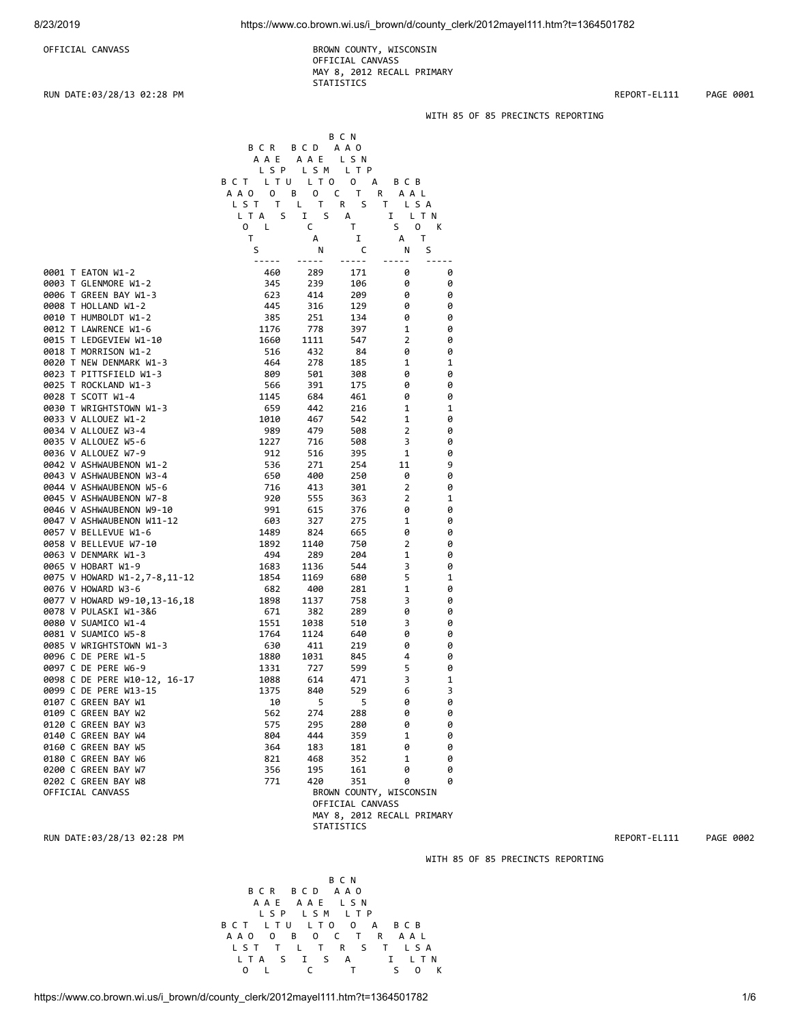OFFICIAL CANVASS **BROWN COUNTY, WISCONSIN**  OFFICIAL CANVASS MAY 8, 2012 RECALL PRIMARY **STATISTICS** 

#### RUN DATE:03/28/13 02:28 PM REPORT-EL111 PAGE 0001

B C N B C R B C D A A O

## WITH 85 OF 85 PRECINCTS REPORTING

|                              | A A E                        | AAE LSN     |                   |                            |        |              |
|------------------------------|------------------------------|-------------|-------------------|----------------------------|--------|--------------|
|                              | L S P                        | LSM         | L T P             |                            |        |              |
|                              | BCT LTU LTO                  |             | $\mathbf{0}$<br>А | B C B                      |        |              |
|                              | A A O<br>0                   | 0<br>В      | T<br>C            | A A L<br>R                 |        |              |
|                              | LST T L T                    |             | R<br>S.           | T.<br>LSA                  |        |              |
|                              | L T A<br>S.                  | Ι.<br>S     | А                 | 1<br>L T N                 |        |              |
|                              | $\mathbf{0}$<br>$\mathsf{L}$ | C           | T                 | S<br>$\mathsf{O}$          | К      |              |
|                              | $\sf T$                      | А           | 1                 | Т<br>А                     |        |              |
|                              | S                            | N           | C                 | S<br>N                     |        |              |
|                              | -----                        | -----       | -----             |                            | $ -$   |              |
| 0001 T EATON W1-2            | 460                          | 289         | 171               | 0                          | 0      |              |
| 0003 T GLENMORE W1-2         | 345                          | 239         | 106               | 0                          | 0      |              |
| 0006 T GREEN BAY W1-3        | 623                          | 414         | 209               | 0                          | 0      |              |
| 0008 T HOLLAND W1-2          | 445                          | 316         | 129               | 0                          | 0      |              |
| 0010 T HUMBOLDT W1-2         | 385                          | 251         | 134               | 0                          | 0      |              |
| 0012 T LAWRENCE W1-6         | 1176                         | 778         | 397               | 1                          | 0      |              |
| 0015 T LEDGEVIEW W1-10       | 1660                         | 1111        | 547               | $\overline{\mathbf{c}}$    | 0      |              |
| 0018 T MORRISON W1-2         | 516                          | 432         | 84                | 0                          | 0      |              |
| 0020 T NEW DENMARK W1-3      | 464                          | 278         | 185               | 1                          | 1      |              |
| 0023 T PITTSFIELD W1-3       | 809                          | 501         | 308               | 0                          | 0      |              |
| 0025 T ROCKLAND W1-3         | 566                          | 391         | 175               | 0                          | 0      |              |
| 0028 T SCOTT W1-4            | 1145                         | 684         | 461               | 0                          | 0      |              |
| 0030 T WRIGHTSTOWN W1-3      | 659                          | 442         | 216               | 1                          | 1      |              |
| 0033 V ALLOUEZ W1-2          | 1010                         | 467         | 542               | 1                          | 0      |              |
| 0034 V ALLOUEZ W3-4          | 989                          | 479         | 508               | $\overline{2}$             | 0      |              |
| 0035 V ALLOUEZ W5-6          | 1227                         | 716         | 508               | 3                          | 0      |              |
| 0036 V ALLOUEZ W7-9          | 912                          | 516         | 395               | 1                          | 0      |              |
| 0042 V ASHWAUBENON W1-2      | 536                          | 271         | 254               | 11                         | 9      |              |
| 0043 V ASHWAUBENON W3-4      | 650                          | 400         | 250               | 0                          | 0      |              |
| 0044 V ASHWAUBENON W5-6      | 716                          | 413         | 301               | $\overline{\mathbf{c}}$    | 0      |              |
| 0045 V ASHWAUBENON W7-8      | 920                          | 555         | 363               | 2                          | 1      |              |
| 0046 V ASHWAUBENON W9-10     | 991                          | 615         | 376               | 0                          | 0      |              |
| 0047 V ASHWAUBENON W11-12    | 603                          | 327         | 275               | 1                          | 0      |              |
| 0057 V BELLEVUE W1-6         | 1489                         | 824         | 665               | 0                          | 0      |              |
| 0058 V BELLEVUE W7-10        | 1892                         | 1140        | 750               | 2                          | 0      |              |
|                              | 494                          | 289         | 204               | 1                          | 0      |              |
| 0063 V DENMARK W1-3          |                              |             | 544               | 3                          | 0      |              |
| 0065 V HOBART W1-9           | 1683                         | 1136        |                   | 5                          | 1      |              |
| 0075 V HOWARD W1-2,7-8,11-12 | 1854                         | 1169        | 680               |                            |        |              |
| 0076 V HOWARD W3-6           | 682                          | 400         | 281               | $\mathbf 1$                | 0<br>0 |              |
| 0077 V HOWARD W9-10,13-16,18 | 1898<br>671                  | 1137<br>382 | 758<br>289        | 3<br>0                     | 0      |              |
| 0078 V PULASKI W1-3&6        |                              |             |                   |                            |        |              |
| 0080 V SUAMICO W1-4          | 1551                         | 1038        | 510               | 3                          | 0      |              |
| 0081 V SUAMICO W5-8          | 1764                         | 1124        | 640               | 0                          | 0      |              |
| 0085 V WRIGHTSTOWN W1-3      | 630                          | 411         | 219               | 0                          | 0      |              |
| 0096 C DE PERE W1-5          | 1880                         | 1031        | 845               | 4                          | 0      |              |
| 0097 C DE PERE W6-9          | 1331                         | 727         | 599               | 5                          | 0      |              |
| 0098 C DE PERE W10-12, 16-17 | 1088                         | 614         | 471               | 3                          | 1      |              |
| 0099 C DE PERE W13-15        | 1375                         | 840         | 529               | 6                          | 3      |              |
| 0107 C GREEN BAY W1          | 10                           | 5           | 5                 | 0                          | 0      |              |
| 0109 C GREEN BAY W2          | 562                          | 274         | 288               | 0                          | 0      |              |
| 0120 C GREEN BAY W3          | 575                          | 295         | 280               | ø                          | 0      |              |
| 0140 C GREEN BAY W4          | 804                          | 444         | 359               | 1                          | 0      |              |
| 0160 C GREEN BAY W5          | 364                          | 183         | 181               | 0                          | 0      |              |
| 0180 C GREEN BAY W6          | 821                          | 468         | 352               | 1                          | 0      |              |
| 0200 C GREEN BAY W7          | 356                          | 195         | 161               | 0                          | 0      |              |
| 0202 C GREEN BAY W8          | 771                          | 420         | 351               | 0                          | 0      |              |
| OFFICIAL CANVASS             |                              |             |                   | BROWN COUNTY, WISCONSIN    |        |              |
|                              |                              |             | OFFICIAL CANVASS  |                            |        |              |
|                              |                              |             |                   | MAY 8, 2012 RECALL PRIMARY |        |              |
|                              |                              |             | STATISTICS        |                            |        |              |
| RUN DATE:03/28/13 02:28 PM   |                              |             |                   |                            |        | REPORT-EL111 |

WITH 85 OF 85 PRECINCTS REPORTING

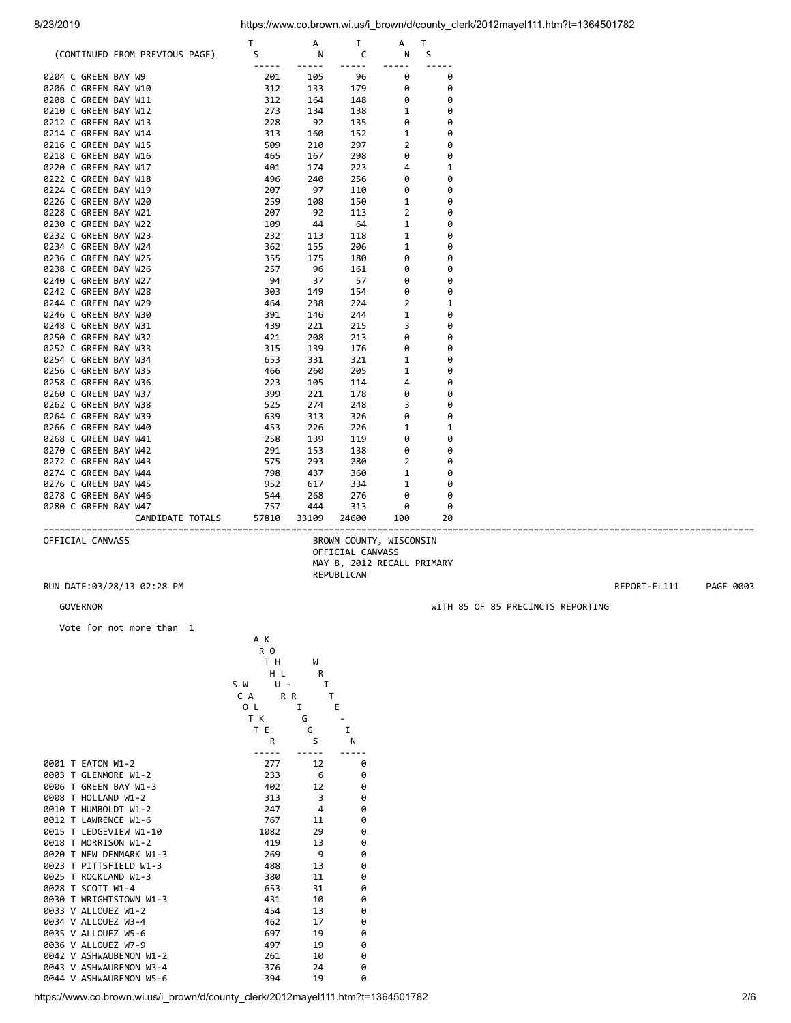|                      |                                | T     | А     | I     | А              | T  |
|----------------------|--------------------------------|-------|-------|-------|----------------|----|
|                      | (CONTINUED FROM PREVIOUS PAGE) | S     | N     | C     | N              | S  |
|                      |                                |       |       |       |                |    |
| 0204 C GREEN BAY W9  |                                | 201   | 105   | 96    | 0              | 0  |
| 0206 C GREEN BAY W10 |                                | 312   | 133   | 179   | 0              | 0  |
| 0208 C GREEN BAY W11 |                                | 312   | 164   | 148   | 0              | 0  |
| 0210 C GREEN BAY W12 |                                | 273   | 134   | 138   | 1              | 0  |
| 0212 C GREEN BAY W13 |                                | 228   | 92    | 135   | 0              | 0  |
| 0214 C GREEN BAY W14 |                                | 313   | 160   | 152   | 1              | 0  |
| 0216 C GREEN BAY W15 |                                | 509   | 210   | 297   | $\overline{2}$ | 0  |
| 0218 C GREEN BAY W16 |                                | 465   | 167   | 298   | 0              | 0  |
| 0220 C GREEN BAY W17 |                                | 401   | 174   | 223   | 4              | 1  |
| 0222 C GREEN BAY W18 |                                | 496   | 240   | 256   | 0              | 0  |
| 0224 C GREEN BAY W19 |                                | 207   | 97    | 110   | 0              | 0  |
| 0226 C GREEN BAY W20 |                                | 259   | 108   | 150   | 1              | 0  |
| 0228 C GREEN BAY W21 |                                | 207   | 92    | 113   | $\overline{2}$ | 0  |
| 0230 C GREEN BAY W22 |                                | 109   | 44    | 64    | $\mathbf{1}$   | 0  |
| 0232 C GREEN BAY W23 |                                | 232   | 113   | 118   | 1              | 0  |
| 0234 C GREEN BAY W24 |                                | 362   | 155   | 206   | 1              | 0  |
| 0236 C GREEN BAY W25 |                                | 355   | 175   | 180   | 0              | 0  |
| 0238 C GREEN BAY W26 |                                | 257   | 96    | 161   | 0              | 0  |
| 0240 C GREEN BAY W27 |                                | 94    | 37    | 57    | 0              | 0  |
| 0242 C GREEN BAY W28 |                                | 303   | 149   | 154   | 0              | 0  |
| 0244 C GREEN BAY W29 |                                | 464   | 238   | 224   | $\overline{2}$ | 1  |
| 0246 C GREEN BAY W30 |                                | 391   | 146   | 244   | $\mathbf 1$    | 0  |
| 0248 C GREEN BAY W31 |                                | 439   | 221   | 215   | 3              | 0  |
| 0250 C GREEN BAY W32 |                                | 421   | 208   | 213   | 0              | 0  |
| 0252 C GREEN BAY W33 |                                | 315   | 139   | 176   | 0              | 0  |
| 0254 C GREEN BAY W34 |                                | 653   | 331   | 321   | 1              | 0  |
| 0256 C GREEN BAY W35 |                                | 466   | 260   | 205   | 1              | 0  |
| 0258 C GREEN BAY W36 |                                | 223   | 105   | 114   | 4              | 0  |
| 0260 C GREEN BAY W37 |                                | 399   | 221   | 178   | 0              | 0  |
| 0262 C GREEN BAY W38 |                                | 525   | 274   | 248   | 3              | 0  |
| 0264 C GREEN BAY W39 |                                | 639   | 313   | 326   | 0              | 0  |
| 0266 C GREEN BAY W40 |                                | 453   | 226   | 226   | 1              | 1  |
| 0268 C GREEN BAY W41 |                                | 258   | 139   | 119   | 0              | 0  |
| 0270 C GREEN BAY W42 |                                | 291   | 153   | 138   | 0              | 0  |
| 0272 C GREEN BAY W43 |                                | 575   | 293   | 280   | $\overline{2}$ | 0  |
| 0274 C GREEN BAY W44 |                                | 798   | 437   | 360   | 1              | 0  |
| 0276 C GREEN BAY W45 |                                | 952   | 617   | 334   | $\mathbf{1}$   | 0  |
| 0278 C GREEN BAY W46 |                                | 544   | 268   | 276   | 0              | 0  |
| 0280 C GREEN BAY W47 |                                | 757   | 444   | 313   | 0              | 0  |
|                      | CANDIDATE TOTALS               | 57810 | 33109 | 24600 | 100            | 20 |

A K

==================================================================================================================================== BROWN COUNTY, WISCONSIN OFFICIAL CANVASS MAY 8, 2012 RECALL PRIMARY REPUBLICAN

# RUN DATE:03/28/13 02:28 PM REPORT-EL111 PAGE 0003

#### GOVERNOR GOVERNOR WITH 85 OF 85 PRECINCTS REPORTING

Vote for not more than 1

R O

|                         | тн         | W  |   |
|-------------------------|------------|----|---|
|                         | H L        | R  |   |
|                         | U -<br>S W | I  |   |
|                         | C A<br>R R | T  |   |
|                         | 0 L        | I  | Е |
|                         | T K        | G  |   |
|                         | ТE         | G  | I |
|                         | R          | S  | N |
|                         |            |    |   |
| 0001 T EATON W1-2       | 277        | 12 | 0 |
| 0003 T GLENMORE W1-2    | 233        | 6  | 0 |
| 0006 T GREEN BAY W1-3   | 402        | 12 | 0 |
| 0008 T HOLLAND W1-2     | 313        | 3  | 0 |
| 0010 T HUMBOLDT W1-2    | 247        | 4  | 0 |
| 0012 T LAWRENCE W1-6    | 767        | 11 | 0 |
| 0015 T LEDGEVIEW W1-10  | 1082       | 29 | 0 |
| 0018 T MORRISON W1-2    | 419        | 13 | 0 |
| 0020 T NEW DENMARK W1-3 | 269        | 9  | 0 |
| 0023 T PITTSFIELD W1-3  | 488        | 13 | 0 |
| 0025 T ROCKLAND W1-3    | 380        | 11 | 0 |
| 0028 T SCOTT W1-4       | 653        | 31 | 0 |
| 0030 T WRIGHTSTOWN W1-3 | 431        | 10 | 0 |
| 0033 V ALLOUEZ W1-2     | 454        | 13 | 0 |
| 0034 V ALLOUEZ W3-4     | 462        | 17 | 0 |
| 0035 V ALLOUEZ W5-6     | 697        | 19 | 0 |
| 0036 V ALLOUEZ W7-9     | 497        | 19 | 0 |
| 0042 V ASHWAUBENON W1-2 | 261        | 10 | 0 |
| 0043 V ASHWAUBENON W3-4 | 376        | 24 | 0 |
| 0044 V ASHWAUBENON W5-6 | 394        | 19 | 0 |
|                         |            |    |   |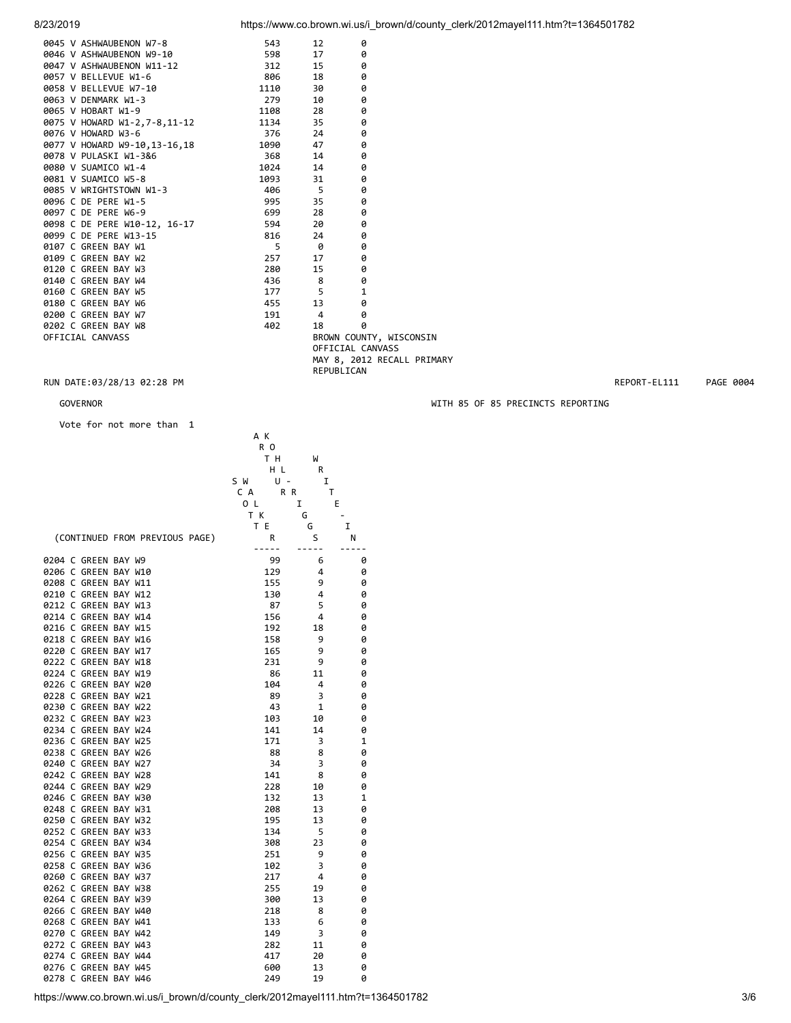| 9945 V ASHWAUBENON W7-8<br>9946 V ASHWAUBENON W9-10<br>9947 V ASHWAUBENON W1-12<br>9957 V BELLEVUE W1-6<br>9958 V BELLEVUE W7-10<br>9968 V BELLEVUE W7-19<br>9966 V HOBART W1-3<br>9965 V HOWARD W1-2, 7-8,11-12<br>9975 V HOWARD W1-2, 7-8,11     |            | 0                          |  |
|----------------------------------------------------------------------------------------------------------------------------------------------------------------------------------------------------------------------------------------------------|------------|----------------------------|--|
|                                                                                                                                                                                                                                                    |            | 0                          |  |
|                                                                                                                                                                                                                                                    |            | 0                          |  |
|                                                                                                                                                                                                                                                    |            | 0                          |  |
|                                                                                                                                                                                                                                                    |            | 0                          |  |
|                                                                                                                                                                                                                                                    |            | 0                          |  |
|                                                                                                                                                                                                                                                    |            | 0                          |  |
|                                                                                                                                                                                                                                                    |            | 0                          |  |
|                                                                                                                                                                                                                                                    |            | 0                          |  |
|                                                                                                                                                                                                                                                    |            | 0                          |  |
|                                                                                                                                                                                                                                                    |            | 0                          |  |
|                                                                                                                                                                                                                                                    |            | 0                          |  |
|                                                                                                                                                                                                                                                    |            | 0                          |  |
|                                                                                                                                                                                                                                                    |            | 0                          |  |
|                                                                                                                                                                                                                                                    |            | 0                          |  |
|                                                                                                                                                                                                                                                    |            | 0                          |  |
| 0098 C DE PERE W10-12, 16-17 594                                                                                                                                                                                                                   | 20         | 0                          |  |
|                                                                                                                                                                                                                                                    |            | 0                          |  |
|                                                                                                                                                                                                                                                    |            | 0                          |  |
|                                                                                                                                                                                                                                                    |            | 0                          |  |
|                                                                                                                                                                                                                                                    |            | 0                          |  |
| 999 C DE PERE M13-15<br>999 C DE PERE M13-15<br>9180 C GREEN BAY M2<br>9180 C GREEN BAY M3<br>9140 C GREEN BAY M3<br>9140 C GREEN BAY M4<br>9160 C GREEN BAY M4<br>9160 C GREEN BAY M5<br>9200 C GREEN BAY M5<br>9200 C GREEN BAY M5<br>9200 C GRE |            | 0                          |  |
|                                                                                                                                                                                                                                                    |            | $\mathbf{1}$               |  |
|                                                                                                                                                                                                                                                    |            | 0                          |  |
|                                                                                                                                                                                                                                                    |            | ø                          |  |
|                                                                                                                                                                                                                                                    |            | Ø                          |  |
| OFFICIAL CANVASS                                                                                                                                                                                                                                   |            | BROWN COUNTY, WISCONSIN    |  |
|                                                                                                                                                                                                                                                    |            | OFFICIAL CANVASS           |  |
|                                                                                                                                                                                                                                                    |            | MAY 8, 2012 RECALL PRIMARY |  |
|                                                                                                                                                                                                                                                    | REPUBLICAN |                            |  |

## RUN DATE:03/28/13 02:28 PM REPORT-EL111 PAGE 0004

## GOVERNOR GOVERNOR WITH 85 OF 85 PRECINCTS REPORTING

 Vote for not more than 1 A K

|                                | R <sub>0</sub> |    |   |
|--------------------------------|----------------|----|---|
|                                | тн             | W  |   |
|                                | ΗL             | R  |   |
|                                | U -<br>S W     | I  |   |
|                                | C A<br>R R     | т  |   |
|                                | O L            | I  | E |
|                                | T K            |    |   |
|                                |                | G  |   |
|                                | T E            | G  | I |
| (CONTINUED FROM PREVIOUS PAGE) | R              | S  | Ν |
|                                |                |    |   |
| 0204 C GREEN BAY W9            | 99             | 6  | 0 |
| 0206 C GREEN BAY W10           | 129            | 4  | 0 |
| 0208 C GREEN BAY W11           | 155            | 9  | 0 |
| 0210 C GREEN BAY W12           | 130            | 4  | 0 |
| 0212 C GREEN BAY W13           | 87             | 5  | 0 |
| 0214 C GREEN BAY W14           | 156            | 4  | 0 |
| 0216 C GREEN BAY W15           | 192            | 18 | 0 |
| 0218 C GREEN BAY W16           | 158            | 9  | 0 |
| 0220 C GREEN BAY W17           | 165            | 9  | 0 |
|                                |                |    |   |
| 0222 C GREEN BAY W18           | 231            | 9  | 0 |
| 0224 C GREEN BAY W19           | 86             | 11 | 0 |
| 0226 C GREEN BAY W20           | 104            | 4  | 0 |
| 0228 C GREEN BAY W21           | 89             | 3  | 0 |
| 0230 C GREEN BAY W22           | 43             | 1  | 0 |
| 0232 C GREEN BAY W23           | 103            | 10 | 0 |
| 0234 C GREEN BAY W24           | 141            | 14 | 0 |
| 0236 C GREEN BAY W25           | 171            | 3  | 1 |
| 0238 C GREEN BAY W26           | 88             | 8  | 0 |
| 0240 C GREEN BAY W27           | 34             | 3  | 0 |
| 0242 C GREEN BAY W28           | 141            | 8  | 0 |
| 0244 C GREEN BAY W29           | 228            | 10 | 0 |
| 0246 C GREEN BAY W30           | 132            | 13 | 1 |
| 0248 C GREEN BAY W31           | 208            | 13 | 0 |
|                                |                |    |   |
| 0250 C GREEN BAY W32           | 195            | 13 | 0 |
| 0252 C GREEN BAY W33           | 134            | 5  | 0 |
| 0254 C GREEN BAY W34           | 308            | 23 | 0 |
| 0256 C GREEN BAY W35           | 251            | 9  | 0 |
| 0258 C GREEN BAY W36           | 102            | 3  | 0 |
| 0260 C GREEN BAY W37           | 217            | 4  | 0 |
| 0262 C GREEN BAY W38           | 255            | 19 | 0 |
| 0264 C GREEN BAY W39           | 300            | 13 | 0 |
| 0266 C GREEN BAY W40           | 218            | 8  | 0 |
| 0268 C GREEN BAY W41           | 133            | 6  | 0 |
| 0270 C GREEN BAY W42           | 149            | 3  | 0 |
| 0272 C GREEN BAY W43           | 282            | 11 | 0 |
| 0274 C GREEN BAY W44           | 417            | 20 | 0 |
| 0276 C GREEN BAY W45           | 600            | 13 | 0 |
|                                |                |    |   |
| 0278 C GREEN BAY W46           | 249            | 19 | 0 |

https://www.co.brown.wi.us/i\_brown/d/county\_clerk/2012mayel111.htm?t=1364501782 3/6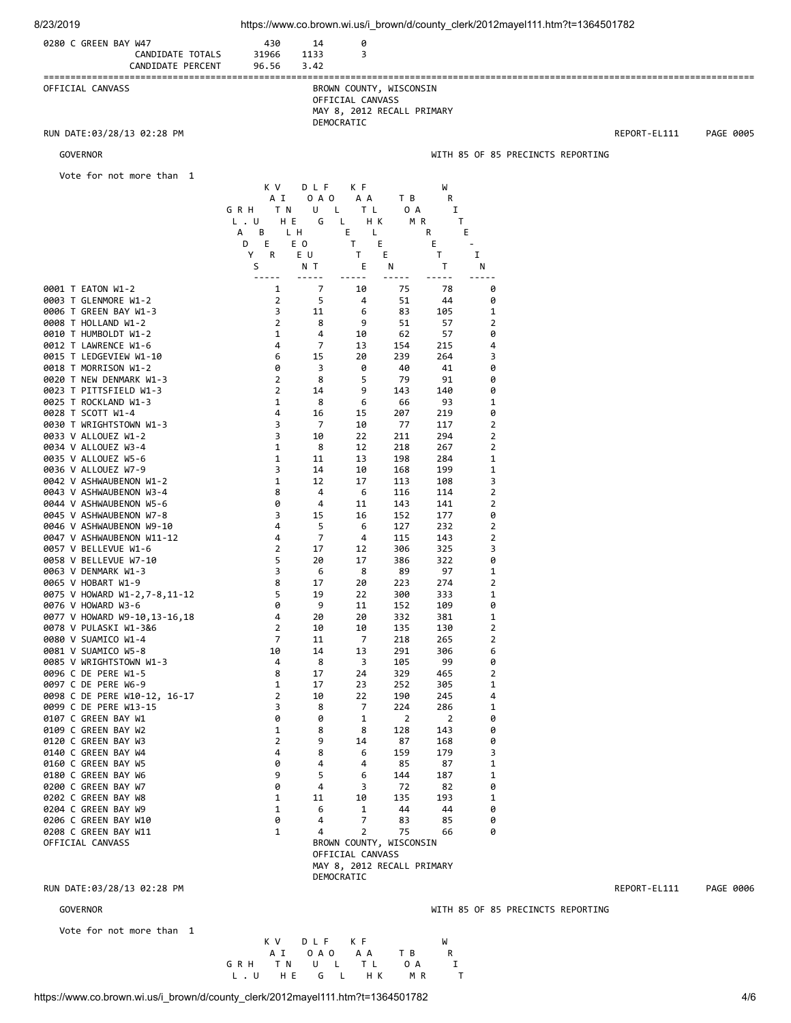| 0280 C GREEN BAY W47<br>CANDIDATE TOTALS<br>CANDIDATE PERCENT | 430<br>31966<br>96.56      | 14<br>1133<br>3.42 | 0<br>3                                                                                  |                       |                       |                     |                                   |              |           |
|---------------------------------------------------------------|----------------------------|--------------------|-----------------------------------------------------------------------------------------|-----------------------|-----------------------|---------------------|-----------------------------------|--------------|-----------|
| OFFICIAL CANVASS                                              |                            |                    | BROWN COUNTY, WISCONSIN<br>OFFICIAL CANVASS<br>MAY 8, 2012 RECALL PRIMARY<br>DEMOCRATIC |                       |                       |                     |                                   |              |           |
| RUN DATE:03/28/13 02:28 PM                                    |                            |                    |                                                                                         |                       |                       |                     |                                   | REPORT-EL111 | PAGE 0005 |
| <b>GOVERNOR</b>                                               |                            |                    |                                                                                         |                       |                       |                     | WITH 85 OF 85 PRECINCTS REPORTING |              |           |
| Vote for not more than 1                                      |                            |                    |                                                                                         |                       |                       |                     |                                   |              |           |
|                                                               | K V<br>A I                 | DLF<br>0 A O       | K F<br>A A                                                                              | T B                   | W<br>R                |                     |                                   |              |           |
|                                                               | GRH<br>T N                 | U<br>L.            | T L                                                                                     | 0 A                   | 1                     |                     |                                   |              |           |
|                                                               | $L$ . $U$<br>H E<br>А<br>В | G<br>L H           | H K<br>L<br>Е<br>L                                                                      | M R                   | Τ<br>R                | Е                   |                                   |              |           |
|                                                               | E<br>D<br>Υ<br>R           | E O<br>E U         | Τ<br>T.                                                                                 | Ε<br>Е                | Е<br>T.               | $\blacksquare$<br>I |                                   |              |           |
|                                                               | S                          | N T                | Ε<br>- -                                                                                | N<br>-----            | Τ                     | N                   |                                   |              |           |
| 0001 T EATON W1-2                                             | 1                          | 7                  | 10                                                                                      | 75                    | 78                    | 0                   |                                   |              |           |
| 0003 T GLENMORE W1-2<br>0006 T GREEN BAY W1-3                 | $\overline{2}$<br>3        | 5<br>11            | 4<br>6                                                                                  | 51<br>83              | 44<br>105             | 0<br>1              |                                   |              |           |
| 0008 T HOLLAND W1-2                                           | 2                          | 8                  | 9                                                                                       | 51                    | 57                    | $\overline{2}$      |                                   |              |           |
| 0010 T HUMBOLDT W1-2<br>0012 T LAWRENCE W1-6                  | 1<br>4                     | 4<br>7             | 10<br>13                                                                                | 62<br>154             | 57<br>215             | 0<br>4              |                                   |              |           |
| 0015 T LEDGEVIEW W1-10                                        | 6                          | 15                 | 20                                                                                      | 239                   | 264                   | 3                   |                                   |              |           |
| 0018 T MORRISON W1-2                                          | 0                          | 3                  | 0                                                                                       | 40                    | 41                    | 0                   |                                   |              |           |
| 0020 T NEW DENMARK W1-3<br>0023 T PITTSFIELD W1-3             | 2<br>2                     | 8<br>14            | 5<br>9                                                                                  | 79<br>143             | 91<br>140             | 0<br>0              |                                   |              |           |
| 0025 T ROCKLAND W1-3                                          | 1                          | 8                  | 6                                                                                       | 66                    | 93                    | 1                   |                                   |              |           |
| 0028 T SCOTT W1-4<br>0030 T WRIGHTSTOWN W1-3                  | 4<br>3                     | 16<br>7            | 15<br>10                                                                                | 207<br>77             | 219<br>117            | 0<br>2              |                                   |              |           |
| 0033 V ALLOUEZ W1-2                                           | 3                          | 10                 | 22                                                                                      | 211                   | 294                   | $\overline{2}$      |                                   |              |           |
| 0034 V ALLOUEZ W3-4                                           | 1                          | 8                  | 12                                                                                      | 218                   | 267                   | $\overline{2}$      |                                   |              |           |
| 0035 V ALLOUEZ W5-6<br>0036 V ALLOUEZ W7-9                    | 1<br>3                     | 11<br>14           | 13<br>10                                                                                | 198<br>168            | 284<br>199            | $\mathbf 1$<br>1    |                                   |              |           |
| 0042 V ASHWAUBENON W1-2                                       | 1                          | 12                 | 17                                                                                      | 113                   | 108                   | 3                   |                                   |              |           |
| 0043 V ASHWAUBENON W3-4<br>0044 V ASHWAUBENON W5-6            | 8<br>0                     | 4<br>4             | 6<br>11                                                                                 | 116<br>143            | 114<br>141            | 2<br>2              |                                   |              |           |
| 0045 V ASHWAUBENON W7-8                                       | 3                          | 15                 | 16                                                                                      | 152                   | 177                   | 0                   |                                   |              |           |
| 0046 V ASHWAUBENON W9-10                                      | 4                          | 5                  | 6                                                                                       | 127                   | 232                   | $\overline{2}$      |                                   |              |           |
| 0047 V ASHWAUBENON W11-12<br>0057 V BELLEVUE W1-6             | 4<br>2                     | 7<br>17            | 4<br>12                                                                                 | 115<br>306            | 143<br>325            | 2<br>3              |                                   |              |           |
| 0058 V BELLEVUE W7-10                                         | 5                          | 20                 | 17                                                                                      | 386                   | 322                   | 0                   |                                   |              |           |
| 0063 V DENMARK W1-3<br>0065 V HOBART W1-9                     | 3<br>8                     | 6<br>17            | 8<br>20                                                                                 | 89<br>223             | 97<br>274             | 1<br>$\overline{2}$ |                                   |              |           |
| 0075 V HOWARD W1-2,7-8,11-12                                  | 5                          | 19                 | 22                                                                                      | 300                   | 333                   | 1                   |                                   |              |           |
| 0076 V HOWARD W3-6<br>0077 V HOWARD W9-10,13-16,18            | ø<br>4                     | 9<br>20            | 11<br>20                                                                                | 152<br>332            | 109<br>381            | 0<br>$\mathbf{1}$   |                                   |              |           |
| 0078 V PULASKI W1-3&6                                         | $\overline{2}$             | 10                 | 10                                                                                      | 135                   | 130                   | $\overline{2}$      |                                   |              |           |
| 0080 V SUAMICO W1-4                                           | 7<br>10                    | 11<br>14           | $\overline{7}$<br>13                                                                    | 218<br>291            | 265<br>306            | 2<br>6              |                                   |              |           |
| 0081 V SUAMICO W5-8<br>0085 V WRIGHTSTOWN W1-3                | 4                          | 8                  | 3                                                                                       | 105                   | 99                    | 0                   |                                   |              |           |
| 0096 C DE PERE W1-5                                           | 8                          | 17                 | 24                                                                                      | 329                   | 465                   | 2                   |                                   |              |           |
| 0097 C DE PERE W6-9<br>0098 C DE PERE W10-12, 16-17           | 1<br>2                     | 17<br>10           | 23<br>22                                                                                | 252<br>190            | 305<br>245            | 1<br>4              |                                   |              |           |
| 0099 C DE PERE W13-15                                         | 3                          | 8                  | 7                                                                                       | 224                   | 286                   | $\mathbf 1$         |                                   |              |           |
| 0107 C GREEN BAY W1<br>0109 C GREEN BAY W2                    | 0<br>1                     | 0<br>8             | $\mathbf 1$<br>8                                                                        | $\overline{2}$<br>128 | $\overline{2}$<br>143 | 0<br>0              |                                   |              |           |
| 0120 C GREEN BAY W3                                           | 2                          | 9                  | 14                                                                                      | 87                    | 168                   | 0                   |                                   |              |           |
| 0140 C GREEN BAY W4<br>0160 C GREEN BAY W5                    | 4<br>0                     | 8<br>4             | 6<br>4                                                                                  | 159<br>85             | 179<br>87             | 3<br>$\mathbf 1$    |                                   |              |           |
| 0180 C GREEN BAY W6                                           | 9                          | 5                  | 6                                                                                       | 144                   | 187                   | $\mathbf 1$         |                                   |              |           |
| 0200 C GREEN BAY W7                                           | 0                          | 4                  | 3                                                                                       | 72                    | 82                    | 0                   |                                   |              |           |
| 0202 C GREEN BAY W8<br>0204 C GREEN BAY W9                    | 1<br>1                     | 11<br>6            | 10<br>$\mathbf{1}$                                                                      | 135<br>44             | 193<br>44             | $\mathbf 1$<br>0    |                                   |              |           |
| 0206 C GREEN BAY W10                                          | 0                          | 4                  | 7                                                                                       | 83                    | 85                    | 0                   |                                   |              |           |
| 0208 C GREEN BAY W11<br>OFFICIAL CANVASS                      | 1                          | 4                  | $\overline{2}$<br>BROWN COUNTY, WISCONSIN                                               | 75                    | 66                    | 0                   |                                   |              |           |
|                                                               |                            |                    | OFFICIAL CANVASS<br>MAY 8, 2012 RECALL PRIMARY<br>DEMOCRATIC                            |                       |                       |                     |                                   |              |           |

8/23/2019 https://www.co.brown.wi.us/i\_brown/d/county\_clerk/2012mayel111.htm?t=1364501782

RUN DATE:03/28/13 02:28 PM REPORT-EL111 PAGE 0006

Vote for not more than 1

GOVERNOR GOVERNOR GOVERNOR CONSUMING THE STATE OF A STATE OF A STATE OF A STATE OF STATE OF STATE OF STATE OF STATE OF STATE OF STATE OF STATE OF STATE OF STATE OF STATE OF STATE OF STATE OF STATE OF STATE OF STATE OF STAT

https://www.co.brown.wi.us/i\_brown/d/county\_clerk/2012mayel111.htm?t=1364501782 4/6

K V DLF K F W

L.U HE GL HK MR T

A I OAO AA TBR<br>GRHTNULTLOAI GRH TNULTLOAI<br>L.UHE GLHK MRT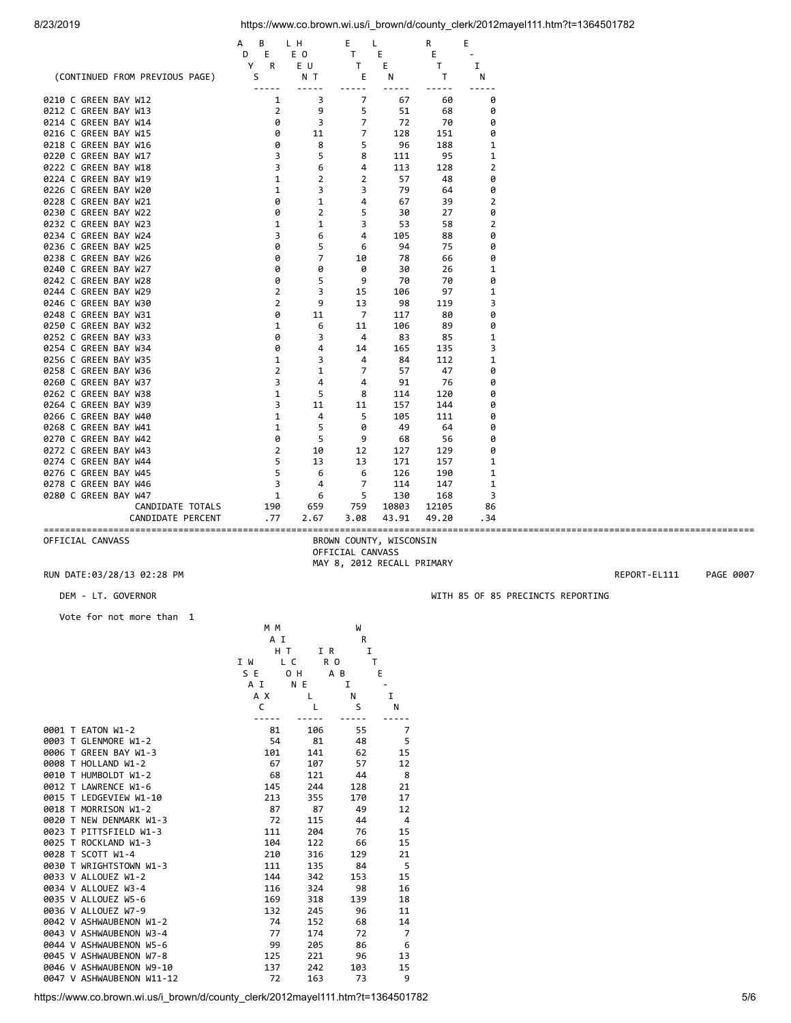|                                | В<br>А            | LН             | E              | L              |       | R<br>Ε |              |
|--------------------------------|-------------------|----------------|----------------|----------------|-------|--------|--------------|
|                                | D<br>E            | E O            |                | E<br>т         |       | E      |              |
|                                | Y<br>R            | E U            |                | E<br>т         |       | т      | I            |
| (CONTINUED FROM PREVIOUS PAGE) | S                 |                | N T            | E<br>$ -$      | N     | т      | N            |
| 0210 C GREEN BAY W12           |                   | 1              | 3              | 7              | 67    | 60     | 0            |
| 0212 C GREEN BAY W13           |                   | $\overline{2}$ | 9              | 5              | 51    | 68     | 0            |
| 0214 C GREEN BAY W14           |                   | 0              | 3              | 7              | 72    | 70     | 0            |
| 0216 C GREEN BAY W15           |                   | 0              | 11             | $\overline{7}$ | 128   | 151    | 0            |
| 0218 C GREEN BAY W16           |                   | 0              | 8              | 5              | 96    | 188    | 1            |
| 0220 C GREEN BAY W17           |                   | 3              | 5              | 8              | 111   | 95     | 1            |
| 0222 C GREEN BAY W18           |                   | 3              | 6              | 4              | 113   | 128    | 2            |
| 0224 C GREEN BAY W19           |                   | $\mathbf{1}$   | $\overline{2}$ | $\overline{2}$ | 57    | 48     | 0            |
| 0226 C GREEN BAY W20           |                   | 1              | 3              | 3              | 79    | 64     | 0            |
| 0228 C GREEN BAY W21           |                   | 0              | 1              | 4              | 67    | 39     | 2            |
| 0230 C GREEN BAY W22           |                   | 0              | $\overline{2}$ | 5              | 30    | 27     | 0            |
| 0232 C GREEN BAY W23           |                   | $\mathbf 1$    | 1              | 3              | 53    | 58     | 2            |
| 0234 C GREEN BAY W24           |                   | 3              | 6              | 4              | 105   | 88     | 0            |
| 0236 C GREEN BAY W25           |                   | 0              | 5              | 6              | 94    | 75     | 0            |
| 0238 C GREEN BAY W26           |                   | 0              | $\overline{7}$ | 10             | 78    | 66     | 0            |
| 0240 C GREEN BAY W27           |                   | 0              | 0              | 0              | 30    | 26     | 1            |
| 0242 C GREEN BAY W28           |                   | 0              | 5              | 9              | 70    | 70     | 0            |
| 0244 C GREEN BAY W29           |                   | $\overline{2}$ | 3              | 15             | 106   | 97     | 1            |
| 0246 C GREEN BAY W30           |                   | $\overline{2}$ | 9              | 13             | 98    | 119    | 3            |
| 0248 C GREEN BAY W31           |                   | 0              | 11             | 7              | 117   | 80     | 0            |
| 0250 C GREEN BAY W32           |                   | 1              | 6              | 11             | 106   | 89     | 0            |
| 0252 C GREEN BAY W33           |                   | 0              | 3              | 4              | 83    | 85     | 1            |
| 0254 C GREEN BAY W34           |                   | 0              | 4              | 14             | 165   | 135    | 3            |
| 0256 C GREEN BAY W35           |                   | 1              | 3              | 4              | 84    | 112    | 1            |
| 0258 C GREEN BAY W36           |                   | 2              | 1              | 7              | 57    | 47     | 0            |
| 0260 C GREEN BAY W37           |                   | 3              | 4              | 4              | 91    | 76     | 0            |
| 0262 C GREEN BAY W38           |                   | $\mathbf{1}$   | 5              | 8              | 114   | 120    | 0            |
| 0264 C GREEN BAY W39           |                   | 3              | 11             | 11             | 157   | 144    | 0            |
| 0266 C GREEN BAY W40           |                   | 1              | 4              | 5              | 105   | 111    | 0            |
| 0268 C GREEN BAY W41           |                   | $\mathbf{1}$   | 5              | 0              | 49    | 64     | 0            |
| 0270 C GREEN BAY W42           |                   | 0              | 5              | 9              | 68    | 56     | 0            |
| 0272 C GREEN BAY W43           |                   | $\overline{2}$ | 10             | 12             | 127   | 129    | 0            |
| 0274 C GREEN BAY W44           |                   | 5              | 13             | 13             | 171   | 157    | 1            |
| 0276 C GREEN BAY W45           |                   | 5              | 6              | 6              | 126   | 190    | 1            |
| 0278 C GREEN BAY W46           |                   | 3              | 4              | $\overline{7}$ | 114   | 147    | $\mathbf{1}$ |
| 0280 C GREEN BAY W47           |                   | 1              | 6              | 5              | 130   | 168    | 3            |
|                                | CANDIDATE TOTALS  | 190            | 659            | 759            | 10803 | 12105  | 86           |
|                                | CANDIDATE PERCENT | .77            | 2.67           | 3.08           | 43.91 | 49.20  | .34          |

==================================================================================================================================== BROWN COUNTY, WISCONSIN OFFICIAL CANVASS MAY 8, 2012 RECALL PRIMARY

## RUN DATE:03/28/13 02:28 PM REPORT-EL111 PAGE 0007

Vote for not more than 1

|                           | M M        |                | W            |                |
|---------------------------|------------|----------------|--------------|----------------|
|                           | A I        |                | R            |                |
|                           | H T        | I R            | I            |                |
|                           | I W<br>L C | R <sub>0</sub> | $\mathsf{T}$ |                |
|                           | S E        | 0 H            | A B          | Е              |
|                           | A I        | N E            | I            |                |
|                           | A X        | $\mathsf{L}$   | N            | I.             |
|                           | C          | L              | S            | N              |
|                           |            |                |              |                |
| 0001 T EATON W1-2         | 81         | 106            | 55           | 7              |
| 0003 T GLENMORE W1-2      | 54         | 81             | 48           | 5              |
| 0006 T GREEN BAY W1-3     | 101        | 141            | 62           | 15             |
| 0008 T HOLLAND W1-2       | 67         | 107            | 57           | 12             |
| 0010 T HUMBOLDT W1-2      | 68         | 121            | 44           | 8              |
| 0012 T LAWRENCE W1-6      | 145        | 244            | 128          | 21             |
| 0015 T LEDGEVIEW W1-10    | 213        | 355            | 170          | 17             |
| 0018 T MORRISON W1-2      | 87         | 87             | 49           | 12             |
| 0020 T NEW DENMARK W1-3   | 72         | 115            | 44           | $\overline{4}$ |
| 0023 T PITTSFIELD W1-3    | 111        | 204            | 76           | 15             |
| 0025 T ROCKLAND W1-3      | 104        | 122            | 66           | 15             |
| 0028 T SCOTT W1-4         | 210        | 316            | 129          | 21             |
| 0030 T WRIGHTSTOWN W1-3   | 111        | 135            | 84           | - 5            |
| 0033 V ALLOUEZ W1-2       | 144        | 342            | 153          | 15             |
| 0034 V ALLOUEZ W3-4       | 116        | 324            | 98           | 16             |
| 0035 V ALLOUEZ W5-6       | 169        | 318            | 139          | 18             |
| 0036 V ALLOUEZ W7-9       | 132        | 245            | 96           | 11             |
| 0042 V ASHWAUBENON W1-2   | 74         | 152            | 68           | 14             |
| 0043 V ASHWAUBENON W3-4   | 77         | 174            | 72           | 7              |
| 0044 V ASHWAUBENON W5-6   | 99         | 205            | 86           | 6              |
| 0045 V ASHWAUBENON W7-8   | 125        | 221            | 96           | 13             |
| 0046 V ASHWAUBENON W9-10  | 137        | 242            | 103          | 15             |
| 0047 V ASHWAUBENON W11-12 | 72         | 163            | 73           | 9              |

DEM - LT. GOVERNOR WITH 85 OF 85 PRECINCTS REPORTING